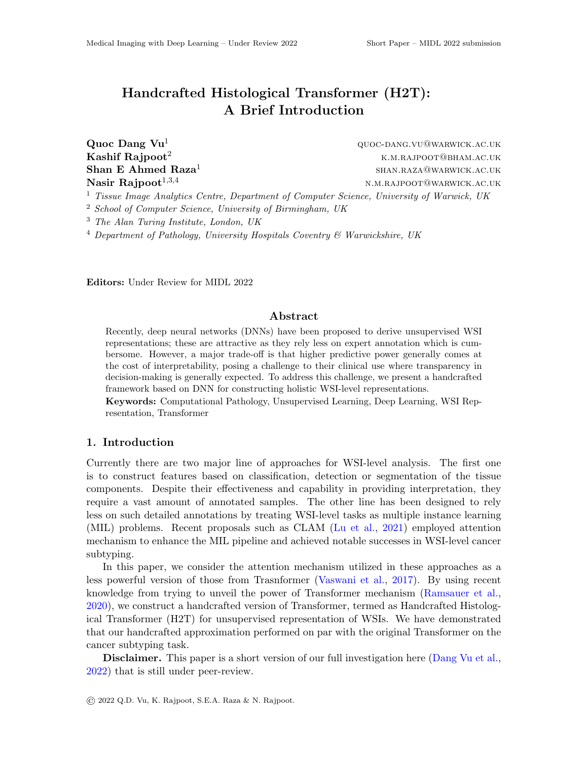# Handcrafted Histological Transformer (H2T): A Brief Introduction

Shan E Ahmed Raza<sup>1</sup>

 $\mathbf{Quoc\,Dang\,~Vu^1}$  and  $\mathbf{Quoc\,DANG.VU@WARMICK.AC.UK}$ **Kashif Rajpoot**<sup>2</sup> k.m.rajpoot  $\alpha$ <sup>2</sup> k.m.rajpoot  $\alpha$ <sup>2</sup> k.m.rajpoot  $\alpha$ <sup>3</sup> shan.raza@warwick.ac.uk Nasir Rajpoot<sup>1,3,4</sup> N.M.RAJPOOT@WARWICK.AC.UK

<sup>1</sup> Tissue Image Analytics Centre, Department of Computer Science, University of Warwick, UK

<sup>2</sup> School of Computer Science, University of Birmingham, UK

<sup>3</sup> The Alan Turing Institute, London, UK

 $4$  Department of Pathology, University Hospitals Coventry  $6$  Warwickshire, UK

Editors: Under Review for MIDL 2022

### Abstract

Recently, deep neural networks (DNNs) have been proposed to derive unsupervised WSI representations; these are attractive as they rely less on expert annotation which is cumbersome. However, a major trade-off is that higher predictive power generally comes at the cost of interpretability, posing a challenge to their clinical use where transparency in decision-making is generally expected. To address this challenge, we present a handcrafted framework based on DNN for constructing holistic WSI-level representations.

Keywords: Computational Pathology, Unsupervised Learning, Deep Learning, WSI Representation, Transformer

## 1. Introduction

Currently there are two major line of approaches for WSI-level analysis. The first one is to construct features based on classification, detection or segmentation of the tissue components. Despite their effectiveness and capability in providing interpretation, they require a vast amount of annotated samples. The other line has been designed to rely less on such detailed annotations by treating WSI-level tasks as multiple instance learning (MIL) problems. Recent proposals such as CLAM [\(Lu et al.,](#page-2-0) [2021\)](#page-2-0) employed attention mechanism to enhance the MIL pipeline and achieved notable successes in WSI-level cancer subtyping.

In this paper, we consider the attention mechanism utilized in these approaches as a less powerful version of those from Trasnformer [\(Vaswani et al.,](#page-2-1) [2017\)](#page-2-1). By using recent knowledge from trying to unveil the power of Transformer mechanism [\(Ramsauer et al.,](#page-2-2) [2020\)](#page-2-2), we construct a handcrafted version of Transformer, termed as Handcrafted Histological Transformer (H2T) for unsupervised representation of WSIs. We have demonstrated that our handcrafted approximation performed on par with the original Transformer on the cancer subtyping task.

Disclaimer. This paper is a short version of our full investigation here [\(Dang Vu et al.,](#page-2-3) [2022\)](#page-2-3) that is still under peer-review.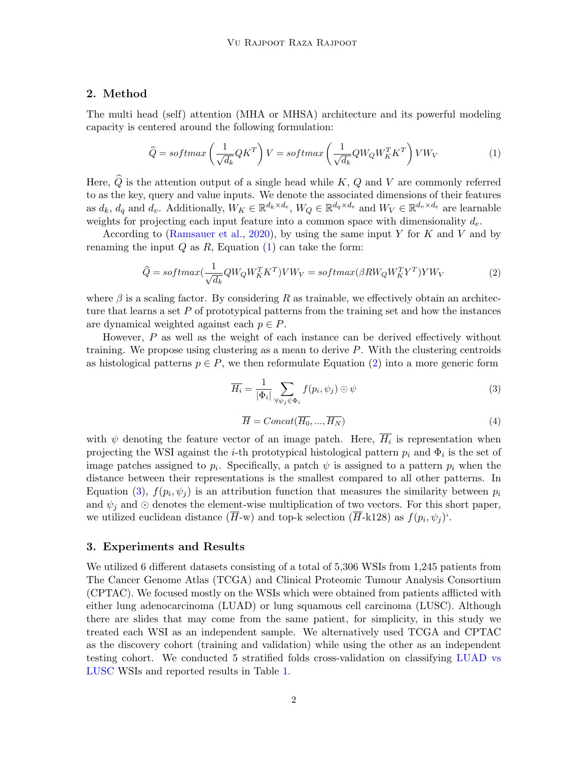# 2. Method

The multi head (self) attention (MHA or MHSA) architecture and its powerful modeling capacity is centered around the following formulation:

$$
\widehat{Q} = softmax\left(\frac{1}{\sqrt{d_k}}QK^T\right)V = softmax\left(\frac{1}{\sqrt{d_k}}QW_QW_K^TK^T\right)VW_V\tag{1}
$$

<span id="page-1-0"></span>Here,  $\widehat{Q}$  is the attention output of a single head while K, Q and V are commonly referred to as the key, query and value inputs. We denote the associated dimensions of their features as  $d_k$ ,  $d_q$  and  $d_v$ . Additionally,  $W_K \in \mathbb{R}^{d_k \times d_e}$ ,  $W_Q \in \mathbb{R}^{d_q \times d_e}$  and  $W_V \in \mathbb{R}^{d_v \times d_e}$  are learnable weights for projecting each input feature into a common space with dimensionality  $d_e$ .

According to [\(Ramsauer et al.,](#page-2-2) [2020\)](#page-2-2), by using the same input Y for K and V and by renaming the input  $Q$  as  $R$ , Equation  $(1)$  can take the form:

$$
\widehat{Q} = softmax(\frac{1}{\sqrt{d_k}}QW_QW_K^T K^T)VW_V = softmax(\beta RW_QW_K^T Y^T)YW_V
$$
\n(2)

<span id="page-1-1"></span>where  $\beta$  is a scaling factor. By considering R as trainable, we effectively obtain an architecture that learns a set  $P$  of prototypical patterns from the training set and how the instances are dynamical weighted against each  $p \in P$ .

However, P as well as the weight of each instance can be derived effectively without training. We propose using clustering as a mean to derive  $P$ . With the clustering centroids as histological patterns  $p \in P$ , we then reformulate Equation [\(2\)](#page-1-1) into a more generic form

<span id="page-1-2"></span>
$$
\overline{H_i} = \frac{1}{|\Phi_i|} \sum_{\forall \psi_j \in \Phi_i} f(p_i, \psi_j) \odot \psi \tag{3}
$$

$$
\overline{H} = Concat(\overline{H_0}, ..., \overline{H_N})
$$
\n(4)

with  $\psi$  denoting the feature vector of an image patch. Here,  $H_i$  is representation when projecting the WSI against the *i*-th prototypical histological pattern  $p_i$  and  $\Phi_i$  is the set of image patches assigned to  $p_i$ . Specifically, a patch  $\psi$  is assigned to a pattern  $p_i$  when the distance between their representations is the smallest compared to all other patterns. In Equation [\(3\)](#page-1-2),  $f(p_i, \psi_j)$  is an attribution function that measures the similarity between  $p_i$ and  $\psi_j$  and ⊙ denotes the element-wise multiplication of two vectors. For this short paper, we utilized euclidean distance  $(H-w)$  and top-k selection  $(H-k128)$  as  $f(p_i, \psi_j)$ .

### 3. Experiments and Results

We utilized 6 different datasets consisting of a total of 5,306 WSIs from 1,245 patients from The Cancer Genome Atlas (TCGA) and Clinical Proteomic Tumour Analysis Consortium (CPTAC). We focused mostly on the WSIs which were obtained from patients afflicted with either lung adenocarcinoma (LUAD) or lung squamous cell carcinoma (LUSC). Although there are slides that may come from the same patient, for simplicity, in this study we treated each WSI as an independent sample. We alternatively used TCGA and CPTAC as the discovery cohort (training and validation) while using the other as an independent testing cohort. We conducted 5 stratified folds cross-validation on classifying LUAD vs LUSC WSIs and reported results in Table [1.](#page-2-4)